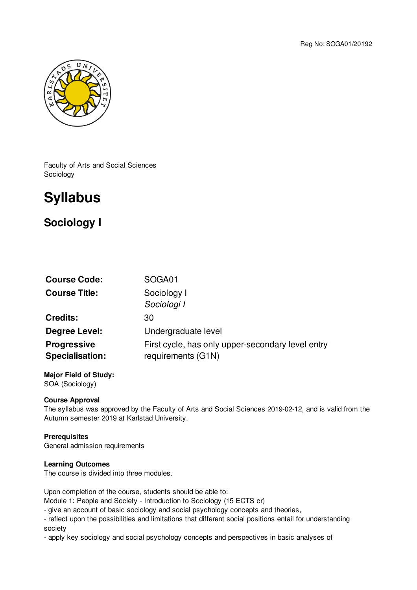

Faculty of Arts and Social Sciences Sociology

# **Syllabus**

# **Sociology I**

| <b>Course Code:</b>                          | SOGA01                                                                  |
|----------------------------------------------|-------------------------------------------------------------------------|
| <b>Course Title:</b>                         | Sociology I<br>Sociologi I                                              |
| <b>Credits:</b>                              | 30                                                                      |
| Degree Level:                                | Undergraduate level                                                     |
| <b>Progressive</b><br><b>Specialisation:</b> | First cycle, has only upper-secondary level entry<br>requirements (G1N) |

**Major Field of Study:** SOA (Sociology)

# **Course Approval**

The syllabus was approved by the Faculty of Arts and Social Sciences 2019-02-12, and is valid from the Autumn semester 2019 at Karlstad University.

# **Prerequisites**

General admission requirements

# **Learning Outcomes**

The course is divided into three modules.

Upon completion of the course, students should be able to:

Module 1: People and Society - Introduction to Sociology (15 ECTS cr)

- give an account of basic sociology and social psychology concepts and theories,

- reflect upon the possibilities and limitations that different social positions entail for understanding society

- apply key sociology and social psychology concepts and perspectives in basic analyses of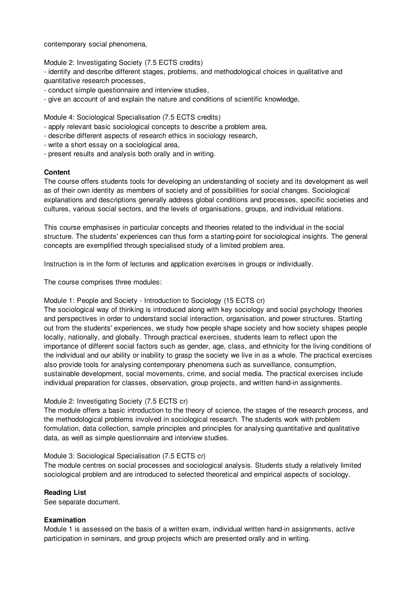contemporary social phenomena,

Module 2: Investigating Society (7.5 ECTS credits)

- identify and describe different stages, problems, and methodological choices in qualitative and quantitative research processes,

- conduct simple questionnaire and interview studies,
- give an account of and explain the nature and conditions of scientific knowledge,

Module 4: Sociological Specialisation (7.5 ECTS credits)

- apply relevant basic sociological concepts to describe a problem area,
- describe different aspects of research ethics in sociology research,
- write a short essay on a sociological area,
- present results and analysis both orally and in writing.

#### **Content**

The course offers students tools for developing an understanding of society and its development as well as of their own identity as members of society and of possibilities for social changes. Sociological explanations and descriptions generally address global conditions and processes, specific societies and cultures, various social sectors, and the levels of organisations, groups, and individual relations.

This course emphasises in particular concepts and theories related to the individual in the social structure. The students' experiences can thus form a starting-point for sociological insights. The general concepts are exemplified through specialised study of a limited problem area.

Instruction is in the form of lectures and application exercises in groups or individually.

The course comprises three modules:

#### Module 1: People and Society - Introduction to Sociology (15 ECTS cr)

The sociological way of thinking is introduced along with key sociology and social psychology theories and perspectives in order to understand social interaction, organisation, and power structures. Starting out from the students' experiences, we study how people shape society and how society shapes people locally, nationally, and globally. Through practical exercises, students learn to reflect upon the importance of different social factors such as gender, age, class, and ethnicity for the living conditions of the individual and our ability or inability to grasp the society we live in as a whole. The practical exercises also provide tools for analysing contemporary phenomena such as surveillance, consumption, sustainable development, social movements, crime, and social media. The practical exercises include individual preparation for classes, observation, group projects, and written hand-in assignments.

# Module 2: Investigating Society (7.5 ECTS cr)

The module offers a basic introduction to the theory of science, the stages of the research process, and the methodological problems involved in sociological research. The students work with problem formulation, data collection, sample principles and principles for analysing quantitative and qualitative data, as well as simple questionnaire and interview studies.

#### Module 3: Sociological Specialisation (7.5 ECTS cr)

The module centres on social processes and sociological analysis. Students study a relatively limited sociological problem and are introduced to selected theoretical and empirical aspects of sociology.

# **Reading List**

See separate document.

# **Examination**

Module 1 is assessed on the basis of a written exam, individual written hand-in assignments, active participation in seminars, and group projects which are presented orally and in writing.